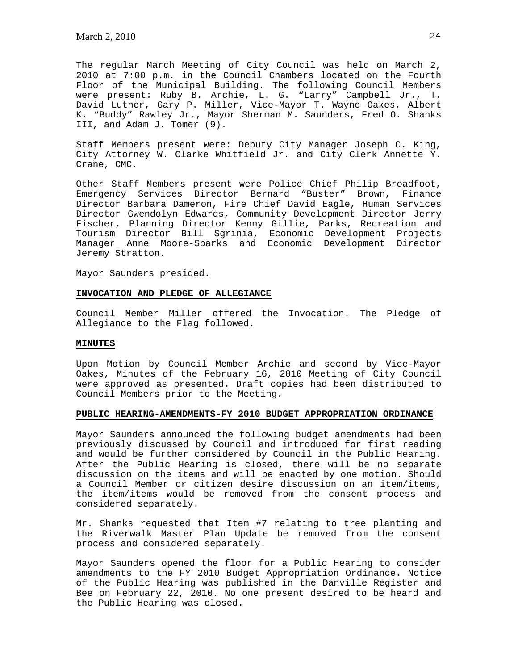The regular March Meeting of City Council was held on March 2, 2010 at 7:00 p.m. in the Council Chambers located on the Fourth Floor of the Municipal Building. The following Council Members were present: Ruby B. Archie, L. G. "Larry" Campbell Jr., T. David Luther, Gary P. Miller, Vice-Mayor T. Wayne Oakes, Albert K. "Buddy" Rawley Jr., Mayor Sherman M. Saunders, Fred O. Shanks III, and Adam J. Tomer (9).

Staff Members present were: Deputy City Manager Joseph C. King, City Attorney W. Clarke Whitfield Jr. and City Clerk Annette Y. Crane, CMC.

Other Staff Members present were Police Chief Philip Broadfoot, Emergency Services Director Bernard "Buster" Brown, Finance Director Barbara Dameron, Fire Chief David Eagle, Human Services Director Gwendolyn Edwards, Community Development Director Jerry Fischer, Planning Director Kenny Gillie, Parks, Recreation and Tourism Director Bill Sgrinia, Economic Development Projects Manager Anne Moore-Sparks and Economic Development Director Jeremy Stratton.

Mayor Saunders presided.

## **INVOCATION AND PLEDGE OF ALLEGIANCE**

Council Member Miller offered the Invocation. The Pledge of Allegiance to the Flag followed.

#### **MINUTES**

Upon Motion by Council Member Archie and second by Vice-Mayor Oakes, Minutes of the February 16, 2010 Meeting of City Council were approved as presented. Draft copies had been distributed to Council Members prior to the Meeting.

### **PUBLIC HEARING-AMENDMENTS-FY 2010 BUDGET APPROPRIATION ORDINANCE**

Mayor Saunders announced the following budget amendments had been previously discussed by Council and introduced for first reading and would be further considered by Council in the Public Hearing. After the Public Hearing is closed, there will be no separate discussion on the items and will be enacted by one motion. Should a Council Member or citizen desire discussion on an item/items, the item/items would be removed from the consent process and considered separately.

Mr. Shanks requested that Item #7 relating to tree planting and the Riverwalk Master Plan Update be removed from the consent process and considered separately.

Mayor Saunders opened the floor for a Public Hearing to consider amendments to the FY 2010 Budget Appropriation Ordinance. Notice of the Public Hearing was published in the Danville Register and Bee on February 22, 2010. No one present desired to be heard and the Public Hearing was closed.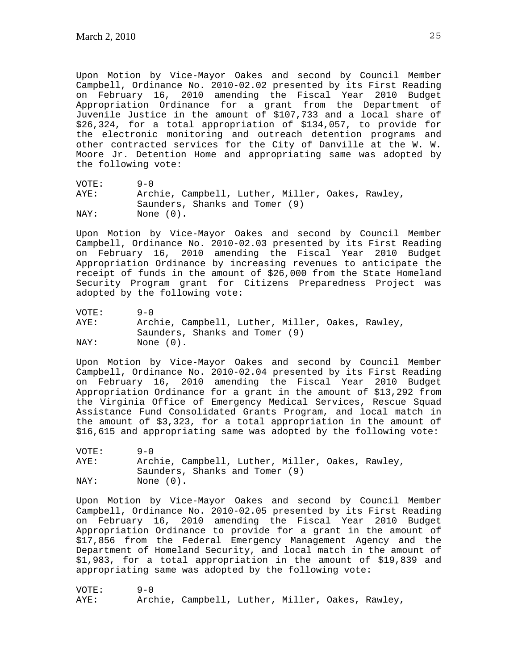Upon Motion by Vice-Mayor Oakes and second by Council Member Campbell, Ordinance No. 2010-02.02 presented by its First Reading on February 16, 2010 amending the Fiscal Year 2010 Budget Appropriation Ordinance for a grant from the Department of Juvenile Justice in the amount of \$107,733 and a local share of \$26,324, for a total appropriation of \$134,057, to provide for the electronic monitoring and outreach detention programs and other contracted services for the City of Danville at the W. W. Moore Jr. Detention Home and appropriating same was adopted by the following vote:

VOTE: 9-0 AYE: Archie, Campbell, Luther, Miller, Oakes, Rawley, Saunders, Shanks and Tomer (9) NAY: None  $(0)$ .

Upon Motion by Vice-Mayor Oakes and second by Council Member Campbell, Ordinance No. 2010-02.03 presented by its First Reading on February 16, 2010 amending the Fiscal Year 2010 Budget Appropriation Ordinance by increasing revenues to anticipate the receipt of funds in the amount of \$26,000 from the State Homeland Security Program grant for Citizens Preparedness Project was adopted by the following vote:

VOTE: 9-0 AYE: Archie, Campbell, Luther, Miller, Oakes, Rawley, Saunders, Shanks and Tomer (9) NAY: None (0).

Upon Motion by Vice-Mayor Oakes and second by Council Member Campbell, Ordinance No. 2010-02.04 presented by its First Reading on February 16, 2010 amending the Fiscal Year 2010 Budget Appropriation Ordinance for a grant in the amount of \$13,292 from the Virginia Office of Emergency Medical Services, Rescue Squad Assistance Fund Consolidated Grants Program, and local match in the amount of \$3,323, for a total appropriation in the amount of \$16,615 and appropriating same was adopted by the following vote:

VOTE: 9-0 AYE: Archie, Campbell, Luther, Miller, Oakes, Rawley, Saunders, Shanks and Tomer (9) NAY: None  $(0)$ .

Upon Motion by Vice-Mayor Oakes and second by Council Member Campbell, Ordinance No. 2010-02.05 presented by its First Reading on February 16, 2010 amending the Fiscal Year 2010 Budget Appropriation Ordinance to provide for a grant in the amount of \$17,856 from the Federal Emergency Management Agency and the Department of Homeland Security, and local match in the amount of \$1,983, for a total appropriation in the amount of \$19,839 and appropriating same was adopted by the following vote:

VOTE: 9-0 AYE: Archie, Campbell, Luther, Miller, Oakes, Rawley,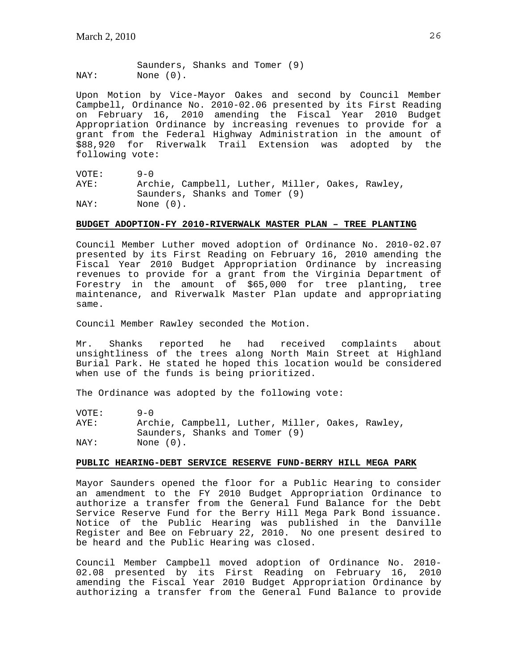Saunders, Shanks and Tomer (9) NAY: None (0).

Upon Motion by Vice-Mayor Oakes and second by Council Member Campbell, Ordinance No. 2010-02.06 presented by its First Reading on February 16, 2010 amending the Fiscal Year 2010 Budget Appropriation Ordinance by increasing revenues to provide for a grant from the Federal Highway Administration in the amount of \$88,920 for Riverwalk Trail Extension was adopted by the following vote:

VOTE: 9-0 AYE: Archie, Campbell, Luther, Miller, Oakes, Rawley, Saunders, Shanks and Tomer (9)<br>NAY: None (0). None  $(0)$ .

### **BUDGET ADOPTION-FY 2010-RIVERWALK MASTER PLAN – TREE PLANTING**

Council Member Luther moved adoption of Ordinance No. 2010-02.07 presented by its First Reading on February 16, 2010 amending the Fiscal Year 2010 Budget Appropriation Ordinance by increasing revenues to provide for a grant from the Virginia Department of Forestry in the amount of \$65,000 for tree planting, tree maintenance, and Riverwalk Master Plan update and appropriating same.

Council Member Rawley seconded the Motion.

Mr. Shanks reported he had received complaints about unsightliness of the trees along North Main Street at Highland Burial Park. He stated he hoped this location would be considered when use of the funds is being prioritized.

The Ordinance was adopted by the following vote:

VOTE: 9-0<br>AYE: Arcl Archie, Campbell, Luther, Miller, Oakes, Rawley, Saunders, Shanks and Tomer (9) NAY: None  $(0)$ .

# **PUBLIC HEARING-DEBT SERVICE RESERVE FUND-BERRY HILL MEGA PARK**

Mayor Saunders opened the floor for a Public Hearing to consider an amendment to the FY 2010 Budget Appropriation Ordinance to authorize a transfer from the General Fund Balance for the Debt Service Reserve Fund for the Berry Hill Mega Park Bond issuance. Notice of the Public Hearing was published in the Danville Register and Bee on February 22, 2010. No one present desired to be heard and the Public Hearing was closed.

Council Member Campbell moved adoption of Ordinance No. 2010- 02.08 presented by its First Reading on February 16, 2010 amending the Fiscal Year 2010 Budget Appropriation Ordinance by authorizing a transfer from the General Fund Balance to provide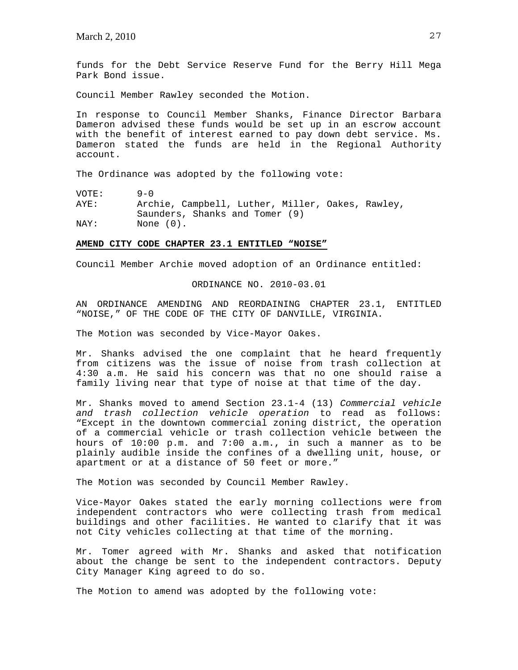funds for the Debt Service Reserve Fund for the Berry Hill Mega Park Bond issue.

Council Member Rawley seconded the Motion.

In response to Council Member Shanks, Finance Director Barbara Dameron advised these funds would be set up in an escrow account with the benefit of interest earned to pay down debt service. Ms. Dameron stated the funds are held in the Regional Authority account.

The Ordinance was adopted by the following vote:

VOTE: 9-0<br>AYE: Arcl Archie, Campbell, Luther, Miller, Oakes, Rawley, Saunders, Shanks and Tomer (9) NAY: None (0).

#### **AMEND CITY CODE CHAPTER 23.1 ENTITLED "NOISE"**

Council Member Archie moved adoption of an Ordinance entitled:

ORDINANCE NO. 2010-03.01

AN ORDINANCE AMENDING AND REORDAINING CHAPTER 23.1, ENTITLED "NOISE," OF THE CODE OF THE CITY OF DANVILLE, VIRGINIA.

The Motion was seconded by Vice-Mayor Oakes.

Mr. Shanks advised the one complaint that he heard frequently from citizens was the issue of noise from trash collection at 4:30 a.m. He said his concern was that no one should raise a family living near that type of noise at that time of the day.

Mr. Shanks moved to amend Section 23.1-4 (13) *Commercial vehicle and trash collection vehicle operation* to read as follows: "Except in the downtown commercial zoning district, the operation of a commercial vehicle or trash collection vehicle between the hours of 10:00 p.m. and 7:00 a.m., in such a manner as to be plainly audible inside the confines of a dwelling unit, house, or apartment or at a distance of 50 feet or more."

The Motion was seconded by Council Member Rawley.

Vice-Mayor Oakes stated the early morning collections were from independent contractors who were collecting trash from medical buildings and other facilities. He wanted to clarify that it was not City vehicles collecting at that time of the morning.

Mr. Tomer agreed with Mr. Shanks and asked that notification about the change be sent to the independent contractors. Deputy City Manager King agreed to do so.

The Motion to amend was adopted by the following vote: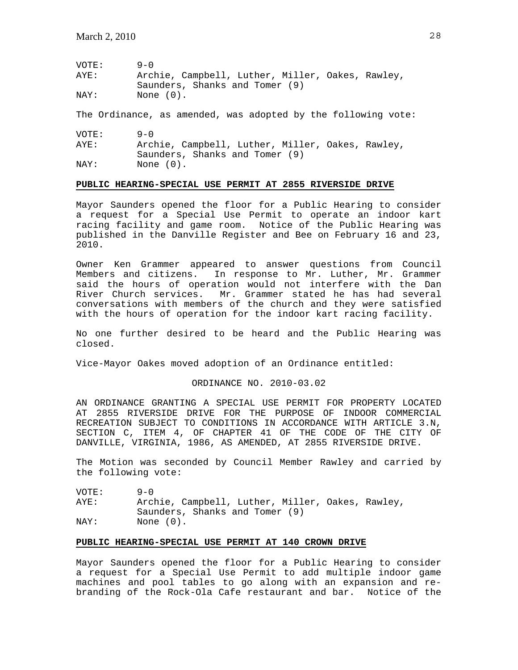| VOTE: | $9 - 0$                                          |
|-------|--------------------------------------------------|
| AYE:  | Archie, Campbell, Luther, Miller, Oakes, Rawley, |
|       | Saunders, Shanks and Tomer (9)                   |
| NAY:  | None (0).                                        |

The Ordinance, as amended, was adopted by the following vote:

| VOTE: | $9 - 0$                                          |
|-------|--------------------------------------------------|
| AYE:  | Archie, Campbell, Luther, Miller, Oakes, Rawley, |
|       | Saunders, Shanks and Tomer (9)                   |
| NAY:  | None (0).                                        |

### **PUBLIC HEARING-SPECIAL USE PERMIT AT 2855 RIVERSIDE DRIVE**

Mayor Saunders opened the floor for a Public Hearing to consider a request for a Special Use Permit to operate an indoor kart racing facility and game room. Notice of the Public Hearing was published in the Danville Register and Bee on February 16 and 23, 2010.

Owner Ken Grammer appeared to answer questions from Council Members and citizens. In response to Mr. Luther, Mr. Grammer said the hours of operation would not interfere with the Dan River Church services. Mr. Grammer stated he has had several conversations with members of the church and they were satisfied with the hours of operation for the indoor kart racing facility.

No one further desired to be heard and the Public Hearing was closed.

Vice-Mayor Oakes moved adoption of an Ordinance entitled:

## ORDINANCE NO. 2010-03.02

AN ORDINANCE GRANTING A SPECIAL USE PERMIT FOR PROPERTY LOCATED AT 2855 RIVERSIDE DRIVE FOR THE PURPOSE OF INDOOR COMMERCIAL RECREATION SUBJECT TO CONDITIONS IN ACCORDANCE WITH ARTICLE 3.N, SECTION C, ITEM 4, OF CHAPTER 41 OF THE CODE OF THE CITY OF DANVILLE, VIRGINIA, 1986, AS AMENDED, AT 2855 RIVERSIDE DRIVE.

The Motion was seconded by Council Member Rawley and carried by the following vote:

VOTE: 9-0 AYE: Archie, Campbell, Luther, Miller, Oakes, Rawley, Saunders, Shanks and Tomer (9) NAY: None  $(0)$ .

### **PUBLIC HEARING-SPECIAL USE PERMIT AT 140 CROWN DRIVE**

Mayor Saunders opened the floor for a Public Hearing to consider a request for a Special Use Permit to add multiple indoor game machines and pool tables to go along with an expansion and rebranding of the Rock-Ola Cafe restaurant and bar. Notice of the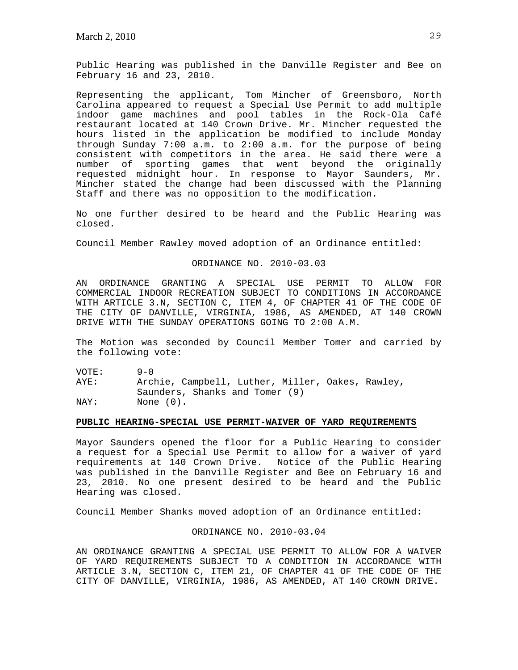Public Hearing was published in the Danville Register and Bee on February 16 and 23, 2010.

Representing the applicant, Tom Mincher of Greensboro, North Carolina appeared to request a Special Use Permit to add multiple indoor game machines and pool tables in the Rock-Ola Café restaurant located at 140 Crown Drive. Mr. Mincher requested the hours listed in the application be modified to include Monday through Sunday 7:00 a.m. to 2:00 a.m. for the purpose of being consistent with competitors in the area. He said there were a number of sporting games that went beyond the originally requested midnight hour. In response to Mayor Saunders, Mr. Mincher stated the change had been discussed with the Planning Staff and there was no opposition to the modification.

No one further desired to be heard and the Public Hearing was closed.

Council Member Rawley moved adoption of an Ordinance entitled:

#### ORDINANCE NO. 2010-03.03

AN ORDINANCE GRANTING A SPECIAL USE PERMIT TO ALLOW FOR COMMERCIAL INDOOR RECREATION SUBJECT TO CONDITIONS IN ACCORDANCE WITH ARTICLE 3.N, SECTION C, ITEM 4, OF CHAPTER 41 OF THE CODE OF THE CITY OF DANVILLE, VIRGINIA, 1986, AS AMENDED, AT 140 CROWN DRIVE WITH THE SUNDAY OPERATIONS GOING TO 2:00 A.M.

The Motion was seconded by Council Member Tomer and carried by the following vote:

VOTE: 9-0 AYE: Archie, Campbell, Luther, Miller, Oakes, Rawley, Saunders, Shanks and Tomer (9) NAY: None (0).

### **PUBLIC HEARING-SPECIAL USE PERMIT-WAIVER OF YARD REQUIREMENTS**

Mayor Saunders opened the floor for a Public Hearing to consider a request for a Special Use Permit to allow for a waiver of yard requirements at 140 Crown Drive. Notice of the Public Hearing was published in the Danville Register and Bee on February 16 and 23, 2010. No one present desired to be heard and the Public Hearing was closed.

Council Member Shanks moved adoption of an Ordinance entitled:

## ORDINANCE NO. 2010-03.04

AN ORDINANCE GRANTING A SPECIAL USE PERMIT TO ALLOW FOR A WAIVER OF YARD REQUIREMENTS SUBJECT TO A CONDITION IN ACCORDANCE WITH ARTICLE 3.N, SECTION C, ITEM 21, OF CHAPTER 41 OF THE CODE OF THE CITY OF DANVILLE, VIRGINIA, 1986, AS AMENDED, AT 140 CROWN DRIVE.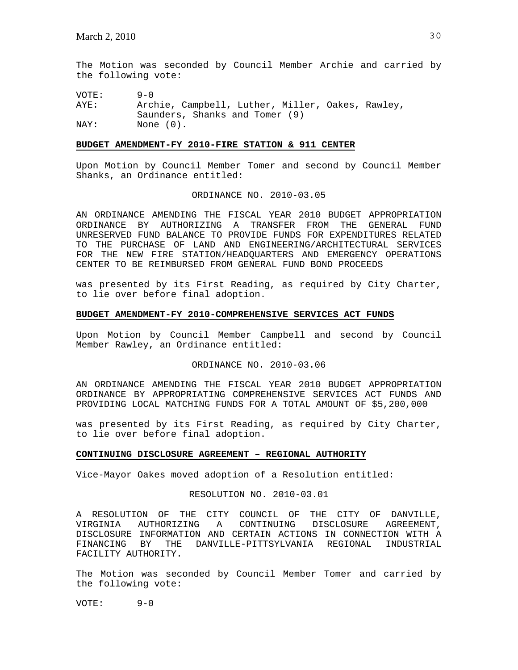The Motion was seconded by Council Member Archie and carried by the following vote:

VOTE: 9-0

AYE: Archie, Campbell, Luther, Miller, Oakes, Rawley, Saunders, Shanks and Tomer (9) NAY: None (0).

### **BUDGET AMENDMENT-FY 2010-FIRE STATION & 911 CENTER**

Upon Motion by Council Member Tomer and second by Council Member Shanks, an Ordinance entitled:

#### ORDINANCE NO. 2010-03.05

AN ORDINANCE AMENDING THE FISCAL YEAR 2010 BUDGET APPROPRIATION ORDINANCE BY AUTHORIZING A TRANSFER FROM THE GENERAL FUND UNRESERVED FUND BALANCE TO PROVIDE FUNDS FOR EXPENDITURES RELATED TO THE PURCHASE OF LAND AND ENGINEERING/ARCHITECTURAL SERVICES FOR THE NEW FIRE STATION/HEADQUARTERS AND EMERGENCY OPERATIONS CENTER TO BE REIMBURSED FROM GENERAL FUND BOND PROCEEDS

was presented by its First Reading, as required by City Charter, to lie over before final adoption.

### **BUDGET AMENDMENT-FY 2010-COMPREHENSIVE SERVICES ACT FUNDS**

Upon Motion by Council Member Campbell and second by Council Member Rawley, an Ordinance entitled:

ORDINANCE NO. 2010-03.06

AN ORDINANCE AMENDING THE FISCAL YEAR 2010 BUDGET APPROPRIATION ORDINANCE BY APPROPRIATING COMPREHENSIVE SERVICES ACT FUNDS AND PROVIDING LOCAL MATCHING FUNDS FOR A TOTAL AMOUNT OF \$5,200,000

was presented by its First Reading, as required by City Charter, to lie over before final adoption.

## **CONTINUING DISCLOSURE AGREEMENT – REGIONAL AUTHORITY**

Vice-Mayor Oakes moved adoption of a Resolution entitled:

## RESOLUTION NO. 2010-03.01

A RESOLUTION OF THE CITY COUNCIL OF THE CITY OF DANVILLE, VIRGINIA AUTHORIZING A CONTINUING DISCLOSURE AGREEMENT, DISCLOSURE INFORMATION AND CERTAIN ACTIONS IN CONNECTION WITH A FINANCING BY THE DANVILLE-PITTSYLVANIA REGIONAL INDUSTRIAL FACILITY AUTHORITY.

The Motion was seconded by Council Member Tomer and carried by the following vote:

VOTE: 9-0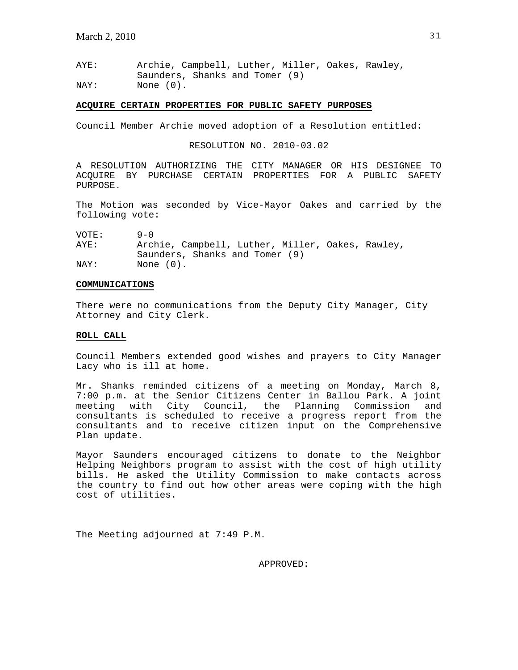AYE: Archie, Campbell, Luther, Miller, Oakes, Rawley, Saunders, Shanks and Tomer (9) NAY: None (0).

### **ACQUIRE CERTAIN PROPERTIES FOR PUBLIC SAFETY PURPOSES**

Council Member Archie moved adoption of a Resolution entitled:

RESOLUTION NO. 2010-03.02

A RESOLUTION AUTHORIZING THE CITY MANAGER OR HIS DESIGNEE TO ACQUIRE BY PURCHASE CERTAIN PROPERTIES FOR A PUBLIC SAFETY PURPOSE.

The Motion was seconded by Vice-Mayor Oakes and carried by the following vote:

VOTE: 9-0

AYE: Archie, Campbell, Luther, Miller, Oakes, Rawley, Saunders, Shanks and Tomer (9) NAY: None (0).

### **COMMUNICATIONS**

There were no communications from the Deputy City Manager, City Attorney and City Clerk.

## **ROLL CALL**

Council Members extended good wishes and prayers to City Manager Lacy who is ill at home.

Mr. Shanks reminded citizens of a meeting on Monday, March 8, 7:00 p.m. at the Senior Citizens Center in Ballou Park. A joint meeting with City Council, the Planning Commission and consultants is scheduled to receive a progress report from the consultants and to receive citizen input on the Comprehensive Plan update.

Mayor Saunders encouraged citizens to donate to the Neighbor Helping Neighbors program to assist with the cost of high utility bills. He asked the Utility Commission to make contacts across the country to find out how other areas were coping with the high cost of utilities.

The Meeting adjourned at 7:49 P.M.

APPROVED: